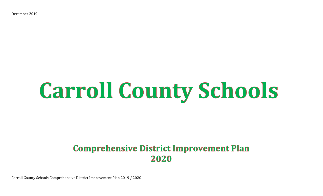December 2019

# **Carroll County Schools**

## **Comprehensive District Improvement Plan** 2020

Carroll County Schools Comprehensive District Improvement Plan 2019 / 2020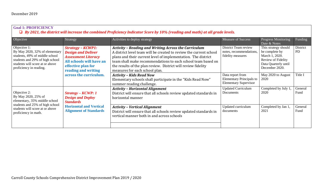#### **Goal 1: PROFICIENCY**

❑ *By 2021, the district will increase the combined Proficiency Indicator Score by 10% (reading and math) at all grade levels.* 

| Objective                                                                                                                                                                         | Strategy                                                                                                                                                     | Activities to deploy strategy                                                                                                                                                                                                                                                                                                                                         | <b>Measure of Success</b>                                                           | Progress Monitoring<br>Date & Notes                                                                                      | Funding               |
|-----------------------------------------------------------------------------------------------------------------------------------------------------------------------------------|--------------------------------------------------------------------------------------------------------------------------------------------------------------|-----------------------------------------------------------------------------------------------------------------------------------------------------------------------------------------------------------------------------------------------------------------------------------------------------------------------------------------------------------------------|-------------------------------------------------------------------------------------|--------------------------------------------------------------------------------------------------------------------------|-----------------------|
| Objective 1:<br>By May 2020, 32% of elementary<br>students, 49% of middle school<br>students and 29% of high school<br>students will score at or above<br>proficiency in reading. | <b>Strategy - KCWP1:</b><br><b>Design and Deliver</b><br><b>Assessment Literacy</b><br>All schools will have an<br>effective plan for<br>reading and writing | <b>Activity - Reading and Writing Across the Curriculum</b><br>A district level team will be created to review the current school<br>plans and their current level of implementation. The district<br>team shall make recommendations to each school team based on<br>the results of the plan review. District will review fidelity<br>measures for each school plan. | District Team review<br>notes, recommendations,<br>fidelity measures                | This strategy should<br>be complete by<br>March 1, 2020.<br>Review of Fidelity<br>Data Quarterly until<br>December 2020. | District<br><b>PD</b> |
|                                                                                                                                                                                   | across the curriculum.                                                                                                                                       | <b>Activity - Kids Read Now</b><br>Elementary schools shall participate in the "Kids Read Now"<br>summer reading challenge.                                                                                                                                                                                                                                           | Data report from<br><b>Elementary Principals to</b><br><b>Elementary Supervisor</b> | May 2020 to August<br>2020                                                                                               | Title I               |
| Objective 2:<br>By May 2020, 25% of<br>elementary, 35% middle school<br>students and 25% of high school<br>students will score at or above<br>proficiency in math.                | $Strategy - KCWP: 1$<br><b>Design and Deploy</b><br><b>Standards</b>                                                                                         | <b>Activity - Horizontal Alignment</b><br>District will ensure that all schools review updated standards in<br>horizontal manner                                                                                                                                                                                                                                      | <b>Updated Curriculum</b><br>Documents                                              | Completed by July 1,<br>2020                                                                                             | General<br>Fund       |
|                                                                                                                                                                                   | <b>Horizontal and Vertical</b><br><b>Alignment of Standards</b>                                                                                              | <b>Activity - Vertical Alignment</b><br>District will ensure that all schools review updated standards in<br>vertical manner both in and across schools                                                                                                                                                                                                               | Updated curriculum<br>documents                                                     | Completed by Jan 1,<br>2021                                                                                              | General<br>Fund       |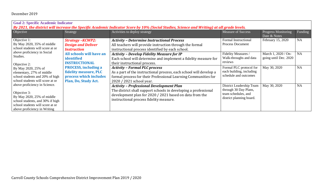| <b>Goal 2: Specific Academic Indicator</b>                                                                                                                                             |                                                                                                        |                                                                                                                                                                                                                          |                                                                                                      |                                              |           |  |  |
|----------------------------------------------------------------------------------------------------------------------------------------------------------------------------------------|--------------------------------------------------------------------------------------------------------|--------------------------------------------------------------------------------------------------------------------------------------------------------------------------------------------------------------------------|------------------------------------------------------------------------------------------------------|----------------------------------------------|-----------|--|--|
| By 2021, the district will increase the Specific Academic Indicator Score by 10% (Social Studies, Science and Writing) at all grade levels.                                            |                                                                                                        |                                                                                                                                                                                                                          |                                                                                                      |                                              |           |  |  |
| Objective                                                                                                                                                                              | Strategy                                                                                               | Activities to deploy strategy                                                                                                                                                                                            | <b>Measure of Success</b>                                                                            | Progress Monitoring<br>Date & Notes          | Funding   |  |  |
| Objective 1:<br>By May 2020, 35% of middle<br>school students will score at or                                                                                                         | <b>Strategy - KCWP2:</b><br><b>Design and Deliver</b><br><b>Instruction</b>                            | <b>Activity - Determine Instructional Process</b><br>All teachers will provide instruction through the formal<br>instructional process identified by each school.                                                        | Formal Instructional<br><b>Process Document</b>                                                      | February 15, 2020                            | <b>NA</b> |  |  |
| above proficiency in Social<br>Studies.<br>Objective 2:                                                                                                                                | All schools will have an<br>identified<br><b>INSTRUCTIONAL</b>                                         | <b>Activity - Develop Fidelity Measure for IP</b><br>Each school will determine and implement a fidelity measure for<br>their instructional process.                                                                     | Fidelity Measures /<br>Walk-throughs and data<br>reviews                                             | March 1, 2020 / On-<br>going until Dec. 2020 | <b>NA</b> |  |  |
| By May 2020, 25% of<br>elementary, 27% of middle<br>school students and 20% of high<br>school students will score at or                                                                | <b>PROCESS, including a</b><br>fidelity measure, PLC<br>process which includes<br>Plan, Do, Study Act. | <b>Activity - Formal PLC process</b><br>As a part of the instructional process, each school will develop a<br>formal process for their Professional Learning Communities for<br>2020 / 2021 school year.                 | Formal PLC protocol for<br>each building, including<br>schedule and outcomes                         | May 30, 2020                                 | <b>NA</b> |  |  |
| above proficiency in Science.<br>Objective 3:<br>By May 2020, $25\%$ of middle<br>school students, and 30% if high<br>school students will score at or<br>above proficiency in Writing |                                                                                                        | <b>Activity - Professional Development Plan</b><br>The district shall support schools in developing a professional<br>development plan for 2020 / 2021 based on data from the<br>instructional process fidelity measure. | District Leadership Team<br>through 30 Day Plans,<br>team schedules, and<br>district planning board. | May 30, 2020                                 | <b>NA</b> |  |  |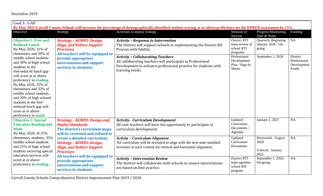| <b>Goal 3: GAP</b>                                                                                                                                                                                                                                                                                                                                                                                                                                               |                                                                                                                                                                                                                                             |                                                                                                                                                                                              |                                                                     |                                                                           |                                                  |  |  |
|------------------------------------------------------------------------------------------------------------------------------------------------------------------------------------------------------------------------------------------------------------------------------------------------------------------------------------------------------------------------------------------------------------------------------------------------------------------|---------------------------------------------------------------------------------------------------------------------------------------------------------------------------------------------------------------------------------------------|----------------------------------------------------------------------------------------------------------------------------------------------------------------------------------------------|---------------------------------------------------------------------|---------------------------------------------------------------------------|--------------------------------------------------|--|--|
| By May 2021 Carroll County Schools will increase the percentage of demographically identified student scoring at or above proficiency on the KPREP assessment by 15%.                                                                                                                                                                                                                                                                                            |                                                                                                                                                                                                                                             |                                                                                                                                                                                              |                                                                     |                                                                           |                                                  |  |  |
| Objective                                                                                                                                                                                                                                                                                                                                                                                                                                                        | Strategy                                                                                                                                                                                                                                    | Activities to deploy strategy                                                                                                                                                                | Measure of                                                          | Progress Monitoring                                                       | Funding                                          |  |  |
| <b>Objective 1: Free and</b><br><b>Reduced Lunch</b><br>By May 2020, 31% of<br>elementary and 50% of<br>middle school students<br>and 30% of high school<br>students in the<br>free/reduced lunch gap<br>will score at or above<br>proficiency in reading.<br>By May 2020, 25% of<br>elementary and 32% of<br>middle school students,<br>and 20% of high schools<br>students in the free/<br>reduced lunch gap will<br>score at or above<br>proficiency in math. | <b>Strategy - KCWP5: Design,</b><br><b>Align, and Deliver Support</b><br><b>Processes</b><br>All teachers will be equipped to<br>provide appropriate<br>interventions and support<br>services to students.                                  | <b>Activity - Response to Intervention</b><br>The District will support schools in implementing the District RtI<br>Process with fidelity.                                                   | Success<br>District RTI<br>team review of<br>school RTI<br>programs | Date & Notes<br><b>Quarterly Beginning</b><br>January 2020 / On-<br>going | <b>NA</b>                                        |  |  |
|                                                                                                                                                                                                                                                                                                                                                                                                                                                                  |                                                                                                                                                                                                                                             | <b>Activity - Collaborating Teachers</b><br>All collaborating teachers will participate in Professional<br>Development to enhance professional practice for students with<br>learning needs. | Professional<br>Development<br>Plan / Sign-In<br><b>Sheets</b>      | September 1, 2020                                                         | District<br>Professional<br>Development<br>Funds |  |  |
| <b>Objective 2: Special</b><br><b>Education Reading and</b><br><b>Math</b><br>By May 2020, of 25%<br>elementary students, 35%<br>middle school students<br>and 25% of high school<br>students receiving special<br>education services will<br>score at or above<br>proficiency in reading.                                                                                                                                                                       | <b>Strategy - KCWP1: Design and</b><br><b>Deploy Standards</b><br>The district's curriculum maps<br>will be reviewed and refined to                                                                                                         | <b>Activity - Curriculum Development</b><br>All core teachers will have the opportunity to participate in<br>curriculum development.                                                         | Updated<br>Curriculum<br>Documents /<br>Agendas                     | January 1, 2021                                                           | <b>NA</b>                                        |  |  |
|                                                                                                                                                                                                                                                                                                                                                                                                                                                                  | create a detailed curriculum.<br><b>Strategy - KCWP5: Design,</b><br><b>Align, and Deliver Support</b><br><b>Processes</b><br>All teachers will be equipped to<br>provide appropriate<br>interventions and support<br>services to students. | <b>Activity – Curriculum Alignment</b><br>All curriculum will be revisited to align with the new state standard<br>revisions to each content for vertical and horizontal alignment.          | Updated<br>Curriculum<br>Documents                                  | Horizontal: August<br>2020<br>Vertical: January<br>2021                   | <b>NA</b>                                        |  |  |
|                                                                                                                                                                                                                                                                                                                                                                                                                                                                  |                                                                                                                                                                                                                                             | <b>Activity - Intervention Review</b><br>The District will collaborate with schools to ensure interventions<br>are based on best practice.                                                   | District RTI<br>team agendas,<br>school RIT<br>program              | September 1, 2020 /<br>On-going                                           | <b>NA</b>                                        |  |  |

Carroll County Schools Comprehensive District Improvement Plan 2019 / 2020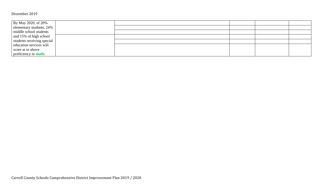| By May 2020, of 20%         |  |  |
|-----------------------------|--|--|
| elementary students, 24%    |  |  |
| middle school students      |  |  |
| and 15% of high school      |  |  |
| students receiving special  |  |  |
| education services will     |  |  |
| score at or above           |  |  |
| proficiency in <b>math.</b> |  |  |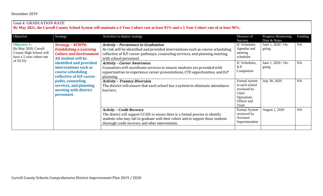#### **Goal 4: GRADUATION RATE**

**By May 2021, the Carroll County School System will maintain a 4 Year Cohort rate at least 95% and a 5 Year Cohort rate of at least 96%.**

| Objective                                                                                                        | Strategy                                                                                                                                                                                                                                                                                                       | Activities to deploy strategy                                                                                                                                                                                                                                 | Measure of<br>Success                                                                        | Progress Monitoring<br>Date & Notes | Funding   |
|------------------------------------------------------------------------------------------------------------------|----------------------------------------------------------------------------------------------------------------------------------------------------------------------------------------------------------------------------------------------------------------------------------------------------------------|---------------------------------------------------------------------------------------------------------------------------------------------------------------------------------------------------------------------------------------------------------------|----------------------------------------------------------------------------------------------|-------------------------------------|-----------|
| <b>Objective 1:</b><br>By May 2020, Carroll<br>County High School will<br>have a 5 year cohort rate<br>of 93.5%. | <b>Strategy - KCWP6:</b><br><b>Establishing a Learning</b><br><b>Culture and Environment</b><br>All student will be<br>identified and provided<br>interventions such as<br>course scheduling<br>reflective of ILP career<br>paths, counseling<br>services, and planning<br>meeting with district<br>personnel. | <b>Activity - Persistence to Graduation</b><br>At-risk will be identified and provided interventions such as course scheduling<br>reflective of ILP career pathways, counseling services, and planning meeting<br>with school personnel.                      | IC Schedules<br>Agendas and<br>meeting<br>schedules                                          | June 1, 2020 / On-<br>going         | <b>NA</b> |
|                                                                                                                  |                                                                                                                                                                                                                                                                                                                | <b>Activity - Career Awareness</b><br>Counselors will coordinate services to ensure students are provided with<br>opportunities to experience career presentations, CTE opportunities, and ILP<br>planning.                                                   | IC Schedules,<br>ILP<br>Completion                                                           | June 1, 2020 / On-<br>going         | <b>NA</b> |
|                                                                                                                  |                                                                                                                                                                                                                                                                                                                | <b>Activity - Truancy Diversion</b><br>The district will ensure that each school has a system to eliminate attendance<br>barriers.                                                                                                                            | Formal system<br>in each school<br>reviewed by<br>Chief<br>Operations<br>Officer and<br>Team | July 30, 2020                       | <b>NA</b> |
|                                                                                                                  |                                                                                                                                                                                                                                                                                                                | <b>Activity – Credit Recovery</b><br>The district will support CCHS to ensure there is a formal process to identify<br>students who may fail to graduate with their cohort and to support those students<br>thorough credit recovery and other interventions. | Formal System<br>reviewed by<br>Assistant<br>Superintendent                                  | August 1, 2020                      | <b>NA</b> |
|                                                                                                                  |                                                                                                                                                                                                                                                                                                                |                                                                                                                                                                                                                                                               |                                                                                              |                                     |           |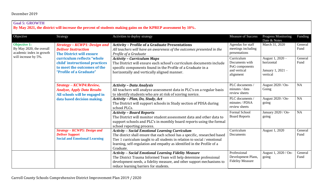### **Goal 5: GROWTH**

**By May 2021, the district will increase the percent of students making gains on the KPREP assessment by 10%.** 

| Objective                                                                                           | Strategy                                                                                                                                                                                                                       | Activities to deploy strategy                                                                                                                                                                                                                                                                               | Measure of Success                                                          | <b>Progress Monitoring</b><br>Date & Notes                      | Funding         |
|-----------------------------------------------------------------------------------------------------|--------------------------------------------------------------------------------------------------------------------------------------------------------------------------------------------------------------------------------|-------------------------------------------------------------------------------------------------------------------------------------------------------------------------------------------------------------------------------------------------------------------------------------------------------------|-----------------------------------------------------------------------------|-----------------------------------------------------------------|-----------------|
| <b>Objective 1:</b><br>By May 2020, the overall<br>academic index in growth<br>will increase by 5%. | <b>Strategy - KCWP1: Design and</b><br><b>Deliver Instruction</b><br><b>The District will ensure</b><br>curriculum reflects "whole<br>child' instructional practices<br>to meet the outcomes of the<br>"Profile of a Graduate" | <b>Activity - Profile of a Graduate Presentations</b><br>All teachers will have an awareness of the outcomes presented in the<br>Profile of a Graduate                                                                                                                                                      | Agendas for staff<br>meetings including<br>presentations                    | March 31, 2020                                                  | General<br>Fund |
|                                                                                                     |                                                                                                                                                                                                                                | <b>Activity - Curriculum Maps</b><br>The District will ensure each school's curriculum documents include<br>specific components found in the Profile of a Graduate in a<br>horizontally and vertically aligned manner.                                                                                      | Curriculum<br>Documents with<br>PoG components<br>and vertical<br>alignment | August 1, 2020 -<br>horizontal<br>January 1, 2021 -<br>vertical | General<br>Fund |
|                                                                                                     | Strategy - KCWP4: Review,<br><b>Analyze, Apply Data Results</b><br>All schools will be engaged in<br>data based decision making.                                                                                               | <b>Activity - Data Analysis</b><br>All teachers will analyze assessment data in PLC's on a regular basis<br>to identify students who are at risk of scoring novice.                                                                                                                                         | PLC documents /<br>minutes / data<br>review sheets                          | August 2020 / On-<br>Going                                      | <b>NA</b>       |
|                                                                                                     |                                                                                                                                                                                                                                | Activity - Plan, Do, Study, Act<br>The District will support schools in Study section of PDSA during<br>school PLCs.                                                                                                                                                                                        | PLC documents /<br>minutes / PDSA<br>review sheets                          | August 2020 / On-<br>going                                      | <b>NA</b>       |
|                                                                                                     |                                                                                                                                                                                                                                | <b>Activity - Board Reports</b><br>The District will monitor student assessment data and other data to<br>support schools and PLC's in monthly board reports using the formal<br>school reporting process.                                                                                                  | Formal School<br><b>Board Reports</b>                                       | January 2020 / On-<br>going                                     | <b>NA</b>       |
|                                                                                                     | <b>Strategy - KCWP5: Design and</b><br><b>Deliver Support</b><br><b>Social and Emotional Learning</b>                                                                                                                          | <b>Activity - Social Emotional Learning Curriculum</b><br>The district shall ensure that each school has a specific, researched based<br>Tier 1 curriculum taught to all students in relation to social / emotional<br>learning, self-regulation and empathy as identified in the Profile of a<br>Graduate. | Curriculum<br>Documents                                                     | August 1, 2020                                                  | General<br>Fund |
|                                                                                                     |                                                                                                                                                                                                                                | <b>Activity - Social Emotional Learning Fidelity Measure</b><br>The District Trauma Informed Team will help determine professional<br>development needs, a fidelity measure, and other support mechanisms to<br>reduce learning barriers for students.                                                      | Professional<br>Development Plans,<br><b>Fidelity Measure</b>               | August 1, 2020 / On-<br>going                                   | General<br>Fund |